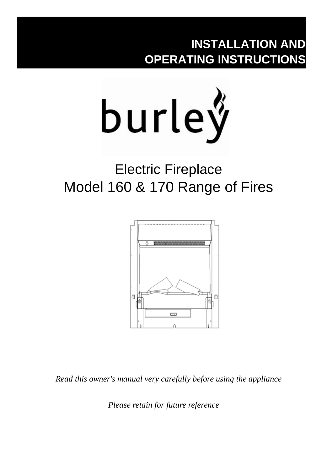## **INSTALLATION AND OPERATING INSTRUCTIONS**



# Electric Fireplace Model 160 & 170 Range of Fires



*Read this owner's manual very carefully before using the appliance*

 *Please retain for future reference*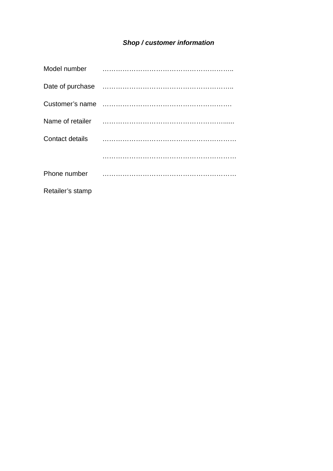### *Shop / customer information*

| Model number     |                                                       |
|------------------|-------------------------------------------------------|
|                  |                                                       |
|                  |                                                       |
|                  |                                                       |
|                  | Contact details <b>contact</b> details <b>contact</b> |
|                  |                                                       |
| Phone number     |                                                       |
| Retailer's stamp |                                                       |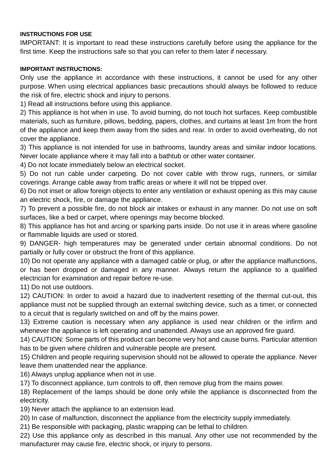#### **INSTRUCTIONS FOR USE**

IMPORTANT: It is important to read these instructions carefully before using the appliance for the first time. Keep the instructions safe so that you can refer to them later if necessary.

#### **IMPORTANT INSTRUCTIONS:**

Only use the appliance in accordance with these instructions, it cannot be used for any other purpose. When using electrical appliances basic precautions should always be followed to reduce the risk of fire, electric shock and injury to persons.

1) Read all instructions before using this appliance.

2) This appliance is hot when in use. To avoid burning, do not touch hot surfaces. Keep combustible materials, such as furniture, pillows, bedding, papers, clothes, and curtains at least 1m from the front of the appliance and keep them away from the sides and rear. In order to avoid overheating, do not cover the appliance.

3) This appliance is not intended for use in bathrooms, laundry areas and similar indoor locations. Never locate appliance where it may fall into a bathtub or other water container.

4) Do not locate immediately below an electrical socket.

5) Do not run cable under carpeting. Do not cover cable with throw rugs, runners, or similar coverings. Arrange cable away from traffic areas or where it will not be tripped over.

6) Do not inset or allow foreign objects to enter any ventilation or exhaust opening as this may cause an electric shock, fire, or damage the appliance.

7) To prevent a possible fire, do not block air intakes or exhaust in any manner. Do not use on soft surfaces, like a bed or carpet, where openings may become blocked.

8) This appliance has hot and arcing or sparking parts inside. Do not use it in areas where gasoline or flammable liquids are used or stored.

9) DANGER- high temperatures may be generated under certain abnormal conditions. Do not partially or fully cover or obstruct the front of this appliance.

10) Do not operate any appliance with a damaged cable or plug, or after the appliance malfunctions, or has been dropped or damaged in any manner. Always return the appliance to a qualified electrician for examination and repair before re-use.

11) Do not use outdoors.

12) CAUTION: In order to avoid a hazard due to inadvertent resetting of the thermal cut-out, this appliance must not be supplied through an external switching device, such as a timer, or connected to a circuit that is regularly switched on and off by the mains power.

13) Extreme caution is necessary when any appliance is used near children or the infirm and whenever the appliance is left operating and unattended. Always use an approved fire guard.

14) CAUTION: Some parts of this product can become very hot and cause burns. Particular attention has to be given where children and vulnerable people are present.

15) Children and people requiring supervision should not be allowed to operate the appliance. Never leave them unattended near the appliance.

16) Always unplug appliance when not in use.

17) To disconnect appliance, turn controls to off, then remove plug from the mains power.

18) Replacement of the lamps should be done only while the appliance is disconnected from the electricity.

19) Never attach the appliance to an extension lead.

20) In case of malfunction, disconnect the appliance from the electricity supply immediately.

21) Be responsible with packaging, plastic wrapping can be lethal to children.

22) Use this appliance only as described in this manual. Any other use not recommended by the manufacturer may cause fire, electric shock, or injury to persons.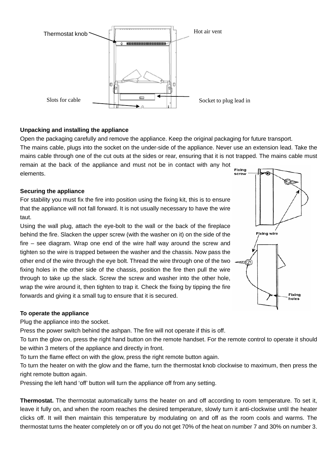

#### **Unpacking and installing the appliance**

Open the packaging carefully and remove the appliance. Keep the original packaging for future transport.

The mains cable, plugs into the socket on the under-side of the appliance. Never use an extension lead. Take the mains cable through one of the cut outs at the sides or rear, ensuring that it is not trapped. The mains cable must

remain at the back of the appliance and must not be in contact with any hot elements.

#### **Securing the appliance**

For stability you must fix the fire into position using the fixing kit, this is to ensure that the appliance will not fall forward. It is not usually necessary to have the wire taut.

Using the wall plug, attach the eye-bolt to the wall or the back of the fireplace behind the fire. Slacken the upper screw (with the washer on it) on the side of the fire – see diagram. Wrap one end of the wire half way around the screw and tighten so the wire is trapped between the washer and the chassis. Now pass the other end of the wire through the eye bolt. Thread the wire through one of the two fixing holes in the other side of the chassis, position the fire then pull the wire through to take up the slack. Screw the screw and washer into the other hole, wrap the wire around it, then tighten to trap it. Check the fixing by tipping the fire forwards and giving it a small tug to ensure that it is secured.



#### **To operate the appliance**

Plug the appliance into the socket.

Press the power switch behind the ashpan. The fire will not operate if this is off.

To turn the glow on, press the right hand button on the remote handset. For the remote control to operate it should be within 3 meters of the appliance and directly in front.

To turn the flame effect on with the glow, press the right remote button again.

To turn the heater on with the glow and the flame, turn the thermostat knob clockwise to maximum, then press the right remote button again.

Pressing the left hand 'off' button will turn the appliance off from any setting.

**Thermostat.** The thermostat automatically turns the heater on and off according to room temperature. To set it, leave it fully on, and when the room reaches the desired temperature, slowly turn it anti-clockwise until the heater clicks off. It will then maintain this temperature by modulating on and off as the room cools and warms. The thermostat turns the heater completely on or off you do not get 70% of the heat on number 7 and 30% on number 3.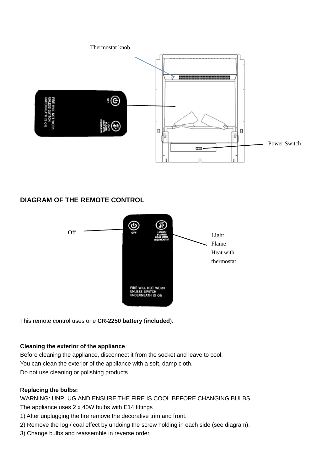

#### **DIAGRAM OF THE REMOTE CONTROL**



This remote control uses one **CR-2250 battery** (**included**).

#### **Cleaning the exterior of the appliance**

Before cleaning the appliance, disconnect it from the socket and leave to cool. You can clean the exterior of the appliance with a soft, damp cloth. Do not use cleaning or polishing products.

#### **Replacing the bulbs:**

WARNING: UNPLUG AND ENSURE THE FIRE IS COOL BEFORE CHANGING BULBS. The appliance uses 2 x 40W bulbs with E14 fittings

- 1) After unplugging the fire remove the decorative trim and front.
- 2) Remove the log / coal effect by undoing the screw holding in each side (see diagram).
- 3) Change bulbs and reassemble in reverse order.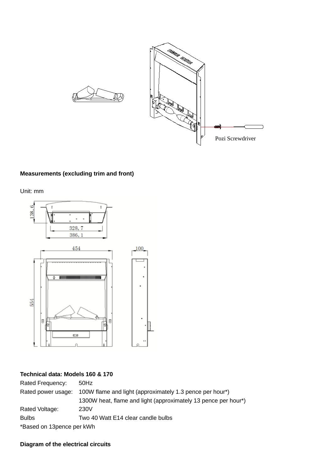

#### **Measurements (excluding trim and front)**

Unit: mm



#### **Technical data: Models 160 & 170**

Rated Frequency: 50Hz Rated power usage: 100W flame and light (approximately 1.3 pence per hour\*) 1300W heat, flame and light (approximately 13 pence per hour\*) Rated Voltage: 230V Bulbs Two 40 Watt E14 clear candle bulbs \*Based on 13pence per kWh

#### **Diagram of the electrical circuits**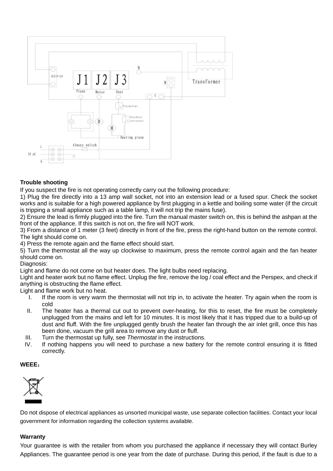

#### **Trouble shooting**

If you suspect the fire is not operating correctly carry out the following procedure:

1) Plug the fire directly into a 13 amp wall socket, not into an extension lead or a fused spur. Check the socket works and is suitable for a high powered appliance by first plugging in a kettle and boiling some water (if the circuit is tripping a small appliance such as a table lamp, it will not trip the mains fuse).

2) Ensure the lead is firmly plugged into the fire. Turn the manual master switch on, this is behind the ashpan at the front of the appliance. If this switch is not on, the fire will NOT work.

3) From a distance of 1 meter (3 feet) directly in front of the fire, press the right-hand button on the remote control. The light should come on.

4) Press the remote again and the flame effect should start.

5) Turn the thermostat all the way up clockwise to maximum, press the remote control again and the fan heater should come on.

Diagnosis:

Light and flame do not come on but heater does. The light bulbs need replacing.

Light and heater work but no flame effect. Unplug the fire, remove the log / coal effect and the Perspex, and check if anything is obstructing the flame effect.

Light and flame work but no heat.<br>I. If the room is very warm

- If the room is very warm the thermostat will not trip in, to activate the heater. Try again when the room is cold
- II. The heater has a thermal cut out to prevent over-heating, for this to reset, the fire must be completely unplugged from the mains and left for 10 minutes. It is most likely that it has tripped due to a build-up of dust and fluff. With the fire unplugged gently brush the heater fan through the air inlet grill, once this has been done, vacuum the grill area to remove any dust or fluff.
- III. Turn the thermostat up fully, see *Thermostat* in the instructions.
- IV. If nothing happens you will need to purchase a new battery for the remote control ensuring it is fitted correctly.

#### **WEEE**:



Do not dispose of electrical appliances as unsorted municipal waste, use separate collection facilities. Contact your local government for information regarding the collection systems available.

#### **Warranty**

Your guarantee is with the retailer from whom you purchased the appliance if necessary they will contact Burley Appliances. The guarantee period is one year from the date of purchase. During this period, if the fault is due to a